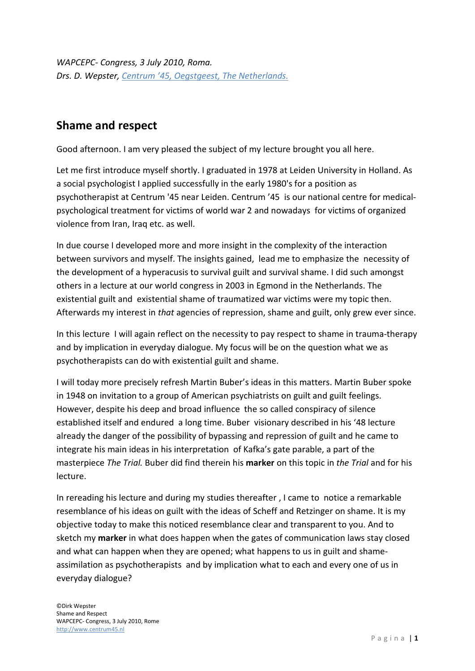*WAPCEPC- Congress, 3 July 2010, Roma. Drs. D. Wepster, [Centrum '45, Oegstgeest, The Netherlands.](http://www.centrum45.nl/)*

# **Shame and respect**

Good afternoon. I am very pleased the subject of my lecture brought you all here.

Let me first introduce myself shortly. I graduated in 1978 at Leiden University in Holland. As a social psychologist I applied successfully in the early 1980's for a position as psychotherapist at Centrum '45 near Leiden. Centrum '45 is our national centre for medicalpsychological treatment for victims of world war 2 and nowadays for victims of organized violence from Iran, Iraq etc. as well.

In due course I developed more and more insight in the complexity of the interaction between survivors and myself. The insights gained, lead me to emphasize the necessity of the development of a hyperacusis to survival guilt and survival shame. I did such amongst others in a lecture at our world congress in 2003 in Egmond in the Netherlands. The existential guilt and existential shame of traumatized war victims were my topic then. Afterwards my interest in *that* agencies of repression, shame and guilt, only grew ever since.

In this lecture I will again reflect on the necessity to pay respect to shame in trauma-therapy and by implication in everyday dialogue. My focus will be on the question what we as psychotherapists can do with existential guilt and shame.

I will today more precisely refresh Martin Buber's ideas in this matters. Martin Buber spoke in 1948 on invitation to a group of American psychiatrists on guilt and guilt feelings. However, despite his deep and broad influence the so called conspiracy of silence established itself and endured a long time. Buber visionary described in his '48 lecture already the danger of the possibility of bypassing and repression of guilt and he came to integrate his main ideas in his interpretation of Kafka's gate parable, a part of the masterpiece *The Trial.* Buber did find therein his **marker** on this topic in *the Trial* and for his lecture.

In rereading his lecture and during my studies thereafter , I came to notice a remarkable resemblance of his ideas on guilt with the ideas of Scheff and Retzinger on shame. It is my objective today to make this noticed resemblance clear and transparent to you. And to sketch my **marker** in what does happen when the gates of communication laws stay closed and what can happen when they are opened; what happens to us in guilt and shameassimilation as psychotherapists and by implication what to each and every one of us in everyday dialogue?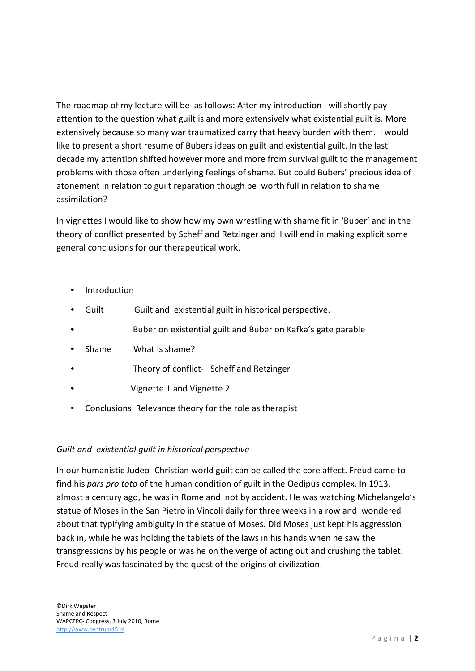The roadmap of my lecture will be as follows: After my introduction I will shortly pay attention to the question what guilt is and more extensively what existential guilt is. More extensively because so many war traumatized carry that heavy burden with them. I would like to present a short resume of Bubers ideas on guilt and existential guilt. In the last decade my attention shifted however more and more from survival guilt to the management problems with those often underlying feelings of shame. But could Bubers' precious idea of atonement in relation to guilt reparation though be worth full in relation to shame assimilation?

In vignettes I would like to show how my own wrestling with shame fit in 'Buber' and in the theory of conflict presented by Scheff and Retzinger and I will end in making explicit some general conclusions for our therapeutical work.

- Introduction
- Guilt Guilt and existential guilt in historical perspective.
- Buber on existential guilt and Buber on Kafka's gate parable
- Shame What is shame?
- Theory of conflict- Scheff and Retzinger
- Vignette 1 and Vignette 2
- Conclusions Relevance theory for the role as therapist

## *Guilt and existential guilt in historical perspective*

In our humanistic Judeo- Christian world guilt can be called the core affect. Freud came to find his *pars pro toto* of the human condition of guilt in the Oedipus complex. In 1913, almost a century ago, he was in Rome and not by accident. He was watching Michelangelo's statue of Moses in the San Pietro in Vincoli daily for three weeks in a row and wondered about that typifying ambiguity in the statue of Moses. Did Moses just kept his aggression back in, while he was holding the tablets of the laws in his hands when he saw the transgressions by his people or was he on the verge of acting out and crushing the tablet. Freud really was fascinated by the quest of the origins of civilization.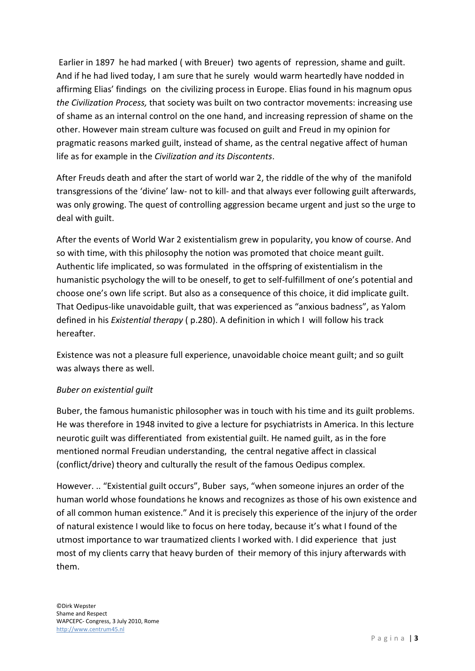Earlier in 1897 he had marked ( with Breuer) two agents of repression, shame and guilt. And if he had lived today, I am sure that he surely would warm heartedly have nodded in affirming Elias' findings on the civilizing process in Europe. Elias found in his magnum opus *the Civilization Process,* that society was built on two contractor movements: increasing use of shame as an internal control on the one hand, and increasing repression of shame on the other. However main stream culture was focused on guilt and Freud in my opinion for pragmatic reasons marked guilt, instead of shame, as the central negative affect of human life as for example in the *Civilization and its Discontents*.

After Freuds death and after the start of world war 2, the riddle of the why of the manifold transgressions of the 'divine' law- not to kill- and that always ever following guilt afterwards, was only growing. The quest of controlling aggression became urgent and just so the urge to deal with guilt.

After the events of World War 2 existentialism grew in popularity, you know of course. And so with time, with this philosophy the notion was promoted that choice meant guilt. Authentic life implicated, so was formulated in the offspring of existentialism in the humanistic psychology the will to be oneself, to get to self-fulfillment of one's potential and choose one's own life script. But also as a consequence of this choice, it did implicate guilt. That Oedipus-like unavoidable guilt, that was experienced as "anxious badness", as Yalom defined in his *Existential therapy* ( p.280). A definition in which I will follow his track hereafter.

Existence was not a pleasure full experience, unavoidable choice meant guilt; and so guilt was always there as well.

## *Buber on existential guilt*

Buber, the famous humanistic philosopher was in touch with his time and its guilt problems. He was therefore in 1948 invited to give a lecture for psychiatrists in America. In this lecture neurotic guilt was differentiated from existential guilt. He named guilt, as in the fore mentioned normal Freudian understanding, the central negative affect in classical (conflict/drive) theory and culturally the result of the famous Oedipus complex.

However. .. "Existential guilt occurs", Buber says, "when someone injures an order of the human world whose foundations he knows and recognizes as those of his own existence and of all common human existence." And it is precisely this experience of the injury of the order of natural existence I would like to focus on here today, because it's what I found of the utmost importance to war traumatized clients I worked with. I did experience that just most of my clients carry that heavy burden of their memory of this injury afterwards with them.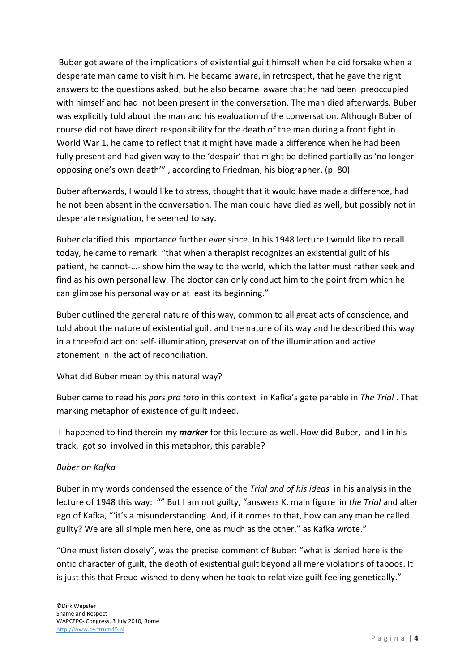Buber got aware of the implications of existential guilt himself when he did forsake when a desperate man came to visit him. He became aware, in retrospect, that he gave the right answers to the questions asked, but he also became aware that he had been preoccupied with himself and had not been present in the conversation. The man died afterwards. Buber was explicitly told about the man and his evaluation of the conversation. Although Buber of course did not have direct responsibility for the death of the man during a front fight in World War 1, he came to reflect that it might have made a difference when he had been fully present and had given way to the 'despair' that might be defined partially as 'no longer opposing one's own death'" , according to Friedman, his biographer. (p. 80).

Buber afterwards, I would like to stress, thought that it would have made a difference, had he not been absent in the conversation. The man could have died as well, but possibly not in desperate resignation, he seemed to say.

Buber clarified this importance further ever since. In his 1948 lecture I would like to recall today, he came to remark: "that when a therapist recognizes an existential guilt of his patient, he cannot-…- show him the way to the world, which the latter must rather seek and find as his own personal law. The doctor can only conduct him to the point from which he can glimpse his personal way or at least its beginning."

Buber outlined the general nature of this way, common to all great acts of conscience, and told about the nature of existential guilt and the nature of its way and he described this way in a threefold action: self- illumination, preservation of the illumination and active atonement in the act of reconciliation.

What did Buber mean by this natural way?

Buber came to read his *pars pro toto* in this context in Kafka's gate parable in *The Trial* . That marking metaphor of existence of guilt indeed.

I happened to find therein my *marker* for this lecture as well. How did Buber, and I in his track, got so involved in this metaphor, this parable?

## *Buber on Kafka*

Buber in my words condensed the essence of the *Trial and of his ideas* in his analysis in the lecture of 1948 this way: "" But I am not guilty, "answers K, main figure in *the Trial* and alter ego of Kafka, "'it's a misunderstanding. And, if it comes to that, how can any man be called guilty? We are all simple men here, one as much as the other." as Kafka wrote."

"One must listen closely", was the precise comment of Buber: "what is denied here is the ontic character of guilt, the depth of existential guilt beyond all mere violations of taboos. It is just this that Freud wished to deny when he took to relativize guilt feeling genetically."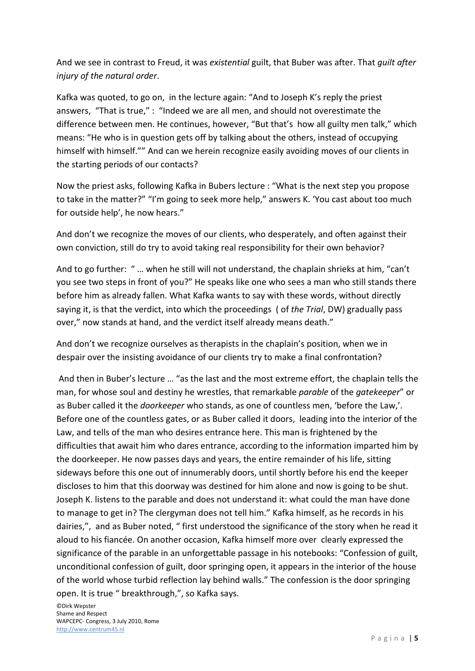And we see in contrast to Freud, it was *existential* guilt, that Buber was after. That *guilt after injury of the natural order*.

Kafka was quoted, to go on, in the lecture again: "And to Joseph K's reply the priest answers, "That is true," : "Indeed we are all men, and should not overestimate the difference between men. He continues, however, "But that's how all guilty men talk," which means: "He who is in question gets off by talking about the others, instead of occupying himself with himself."" And can we herein recognize easily avoiding moves of our clients in the starting periods of our contacts?

Now the priest asks, following Kafka in Bubers lecture : "What is the next step you propose to take in the matter?" "I'm going to seek more help," answers K. 'You cast about too much for outside help', he now hears."

And don't we recognize the moves of our clients, who desperately, and often against their own conviction, still do try to avoid taking real responsibility for their own behavior?

And to go further: " … when he still will not understand, the chaplain shrieks at him, "can't you see two steps in front of you?" He speaks like one who sees a man who still stands there before him as already fallen. What Kafka wants to say with these words, without directly saying it, is that the verdict, into which the proceedings ( of *the Trial*, DW) gradually pass over," now stands at hand, and the verdict itself already means death."

And don't we recognize ourselves as therapists in the chaplain's position, when we in despair over the insisting avoidance of our clients try to make a final confrontation?

And then in Buber's lecture … "as the last and the most extreme effort, the chaplain tells the man, for whose soul and destiny he wrestles, that remarkable *parable* of the *gatekeeper*" or as Buber called it the *doorkeeper* who stands, as one of countless men, 'before the Law,'. Before one of the countless gates, or as Buber called it doors, leading into the interior of the Law, and tells of the man who desires entrance here. This man is frightened by the difficulties that await him who dares entrance, according to the information imparted him by the doorkeeper. He now passes days and years, the entire remainder of his life, sitting sideways before this one out of innumerably doors, until shortly before his end the keeper discloses to him that this doorway was destined for him alone and now is going to be shut. Joseph K. listens to the parable and does not understand it: what could the man have done to manage to get in? The clergyman does not tell him." Kafka himself, as he records in his dairies,", and as Buber noted, " first understood the significance of the story when he read it aloud to his fiancée. On another occasion, Kafka himself more over clearly expressed the significance of the parable in an unforgettable passage in his notebooks: "Confession of guilt, unconditional confession of guilt, door springing open, it appears in the interior of the house of the world whose turbid reflection lay behind walls." The confession is the door springing open. It is true " breakthrough,", so Kafka says.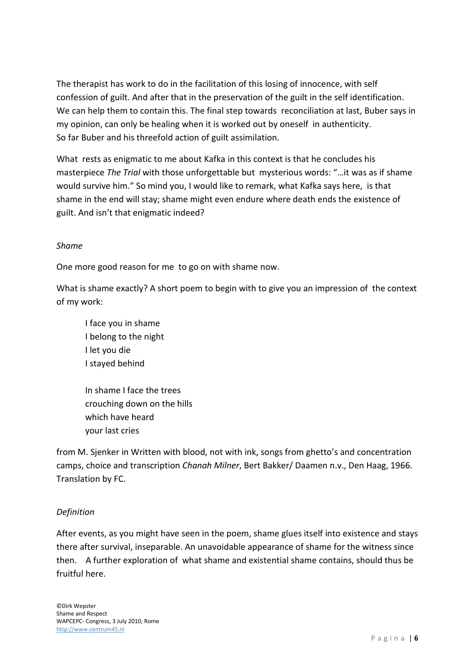The therapist has work to do in the facilitation of this losing of innocence, with self confession of guilt. And after that in the preservation of the guilt in the self identification. We can help them to contain this. The final step towards reconciliation at last, Buber says in my opinion, can only be healing when it is worked out by oneself in authenticity. So far Buber and his threefold action of guilt assimilation.

What rests as enigmatic to me about Kafka in this context is that he concludes his masterpiece *The Trial* with those unforgettable but mysterious words: "…it was as if shame would survive him." So mind you, I would like to remark, what Kafka says here, is that shame in the end will stay; shame might even endure where death ends the existence of guilt. And isn't that enigmatic indeed?

## *Shame*

One more good reason for me to go on with shame now.

What is shame exactly? A short poem to begin with to give you an impression of the context of my work:

I face you in shame I belong to the night I let you die I stayed behind

In shame I face the trees crouching down on the hills which have heard your last cries

from M. Sjenker in Written with blood, not with ink, songs from ghetto's and concentration camps, choice and transcription *Chanah Milner*, Bert Bakker/ Daamen n.v., Den Haag, 1966. Translation by FC.

## *Definition*

After events, as you might have seen in the poem, shame glues itself into existence and stays there after survival, inseparable. An unavoidable appearance of shame for the witness since then. A further exploration of what shame and existential shame contains, should thus be fruitful here.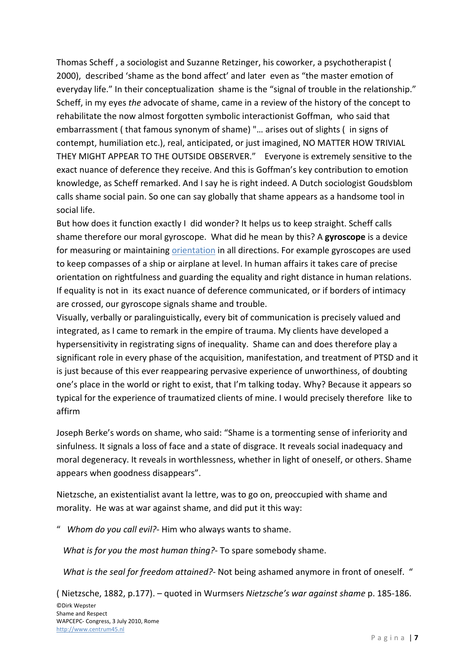Thomas Scheff , a sociologist and Suzanne Retzinger, his coworker, a psychotherapist ( 2000), described 'shame as the bond affect' and later even as "the master emotion of everyday life." In their conceptualization shame is the "signal of trouble in the relationship." Scheff, in my eyes *the* advocate of shame, came in a review of the history of the concept to rehabilitate the now almost forgotten symbolic interactionist Goffman, who said that embarrassment ( that famous synonym of shame) "… arises out of slights ( in signs of contempt, humiliation etc.), real, anticipated, or just imagined, NO MATTER HOW TRIVIAL THEY MIGHT APPEAR TO THE OUTSIDE OBSERVER." Everyone is extremely sensitive to the exact nuance of deference they receive. And this is Goffman's key contribution to emotion knowledge, as Scheff remarked. And I say he is right indeed. A Dutch sociologist Goudsblom calls shame social pain. So one can say globally that shame appears as a handsome tool in social life.

But how does it function exactly I did wonder? It helps us to keep straight. Scheff calls shame therefore our moral gyroscope. What did he mean by this? A **gyroscope** is a device for measuring or maintaining orientation in all directions. For example gyroscopes are used to keep compasses of a ship or airplane at level. In human affairs it takes care of precise orientation on rightfulness and guarding the equality and right distance in human relations. If equality is not in its exact nuance of deference communicated, or if borders of intimacy are crossed, our gyroscope signals shame and trouble.

Visually, verbally or paralinguistically, every bit of communication is precisely valued and integrated, as I came to remark in the empire of trauma. My clients have developed a hypersensitivity in registrating signs of inequality. Shame can and does therefore play a significant role in every phase of the acquisition, manifestation, and treatment of PTSD and it is just because of this ever reappearing pervasive experience of unworthiness, of doubting one's place in the world or right to exist, that I'm talking today. Why? Because it appears so typical for the experience of traumatized clients of mine. I would precisely therefore like to affirm

Joseph Berke's words on shame, who said: "Shame is a tormenting sense of inferiority and sinfulness. It signals a loss of face and a state of disgrace. It reveals social inadequacy and moral degeneracy. It reveals in worthlessness, whether in light of oneself, or others. Shame appears when goodness disappears".

Nietzsche, an existentialist avant la lettre, was to go on, preoccupied with shame and morality. He was at war against shame, and did put it this way:

" *Whom do you call evil?‐* Him who always wants to shame.

*What is for you the most human thing?*‐ To spare somebody shame.

*What is the seal for freedom attained?‐* Not being ashamed anymore in front of oneself. "

( Nietzsche, 1882, p.177). – quoted in Wurmsers *Nietzsche's war against shame* p. 185‐186.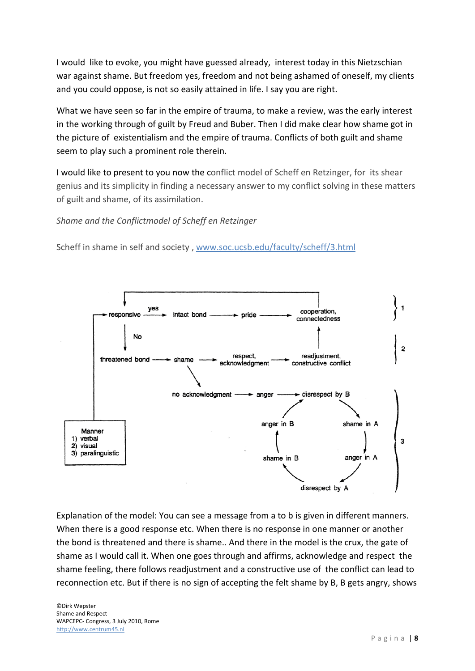I would like to evoke, you might have guessed already, interest today in this Nietzschian war against shame. But freedom yes, freedom and not being ashamed of oneself, my clients and you could oppose, is not so easily attained in life. I say you are right.

What we have seen so far in the empire of trauma, to make a review, was the early interest in the working through of guilt by Freud and Buber. Then I did make clear how shame got in the picture of existentialism and the empire of trauma. Conflicts of both guilt and shame seem to play such a prominent role therein.

I would like to present to you now the conflict model of Scheff en Retzinger, for its shear genius and its simplicity in finding a necessary answer to my conflict solving in these matters of guilt and shame, of its assimilation.

*Shame and the Conflictmodel of Scheff en Retzinger*

Scheff in shame in self and society , [www.soc.ucsb.edu/faculty/scheff/3.html](http://www.soc.ucsb.edu/faculty/scheff/3.html)



Explanation of the model: You can see a message from a to b is given in different manners. When there is a good response etc. When there is no response in one manner or another the bond is threatened and there is shame.. And there in the model is the crux, the gate of shame as I would call it. When one goes through and affirms, acknowledge and respect the shame feeling, there follows readjustment and a constructive use of the conflict can lead to reconnection etc. But if there is no sign of accepting the felt shame by B, B gets angry, shows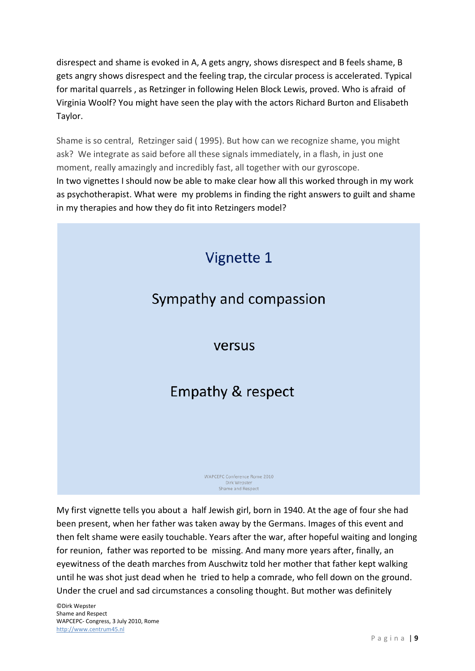disrespect and shame is evoked in A, A gets angry, shows disrespect and B feels shame, B gets angry shows disrespect and the feeling trap, the circular process is accelerated. Typical for marital quarrels , as Retzinger in following Helen Block Lewis, proved. Who is afraid of Virginia Woolf? You might have seen the play with the actors Richard Burton and Elisabeth Taylor.

Shame is so central, Retzinger said ( 1995). But how can we recognize shame, you might ask? We integrate as said before all these signals immediately, in a flash, in just one moment, really amazingly and incredibly fast, all together with our gyroscope. In two vignettes I should now be able to make clear how all this worked through in my work as psychotherapist. What were my problems in finding the right answers to guilt and shame in my therapies and how they do fit into Retzingers model?



My first vignette tells you about a half Jewish girl, born in 1940. At the age of four she had been present, when her father was taken away by the Germans. Images of this event and then felt shame were easily touchable. Years after the war, after hopeful waiting and longing for reunion, father was reported to be missing. And many more years after, finally, an eyewitness of the death marches from Auschwitz told her mother that father kept walking until he was shot just dead when he tried to help a comrade, who fell down on the ground. Under the cruel and sad circumstances a consoling thought. But mother was definitely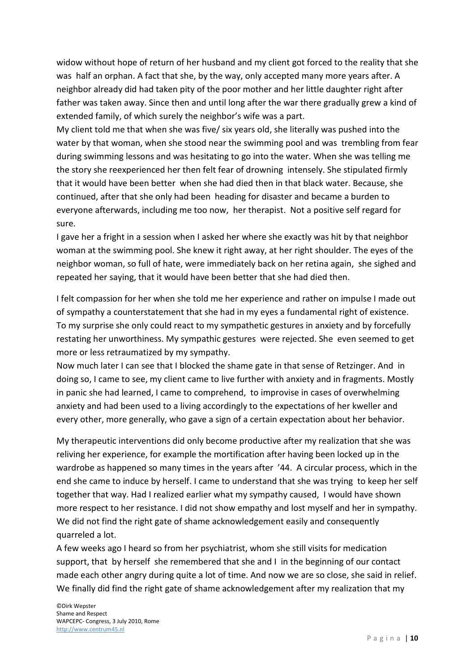widow without hope of return of her husband and my client got forced to the reality that she was half an orphan. A fact that she, by the way, only accepted many more years after. A neighbor already did had taken pity of the poor mother and her little daughter right after father was taken away. Since then and until long after the war there gradually grew a kind of extended family, of which surely the neighbor's wife was a part.

My client told me that when she was five/ six years old, she literally was pushed into the water by that woman, when she stood near the swimming pool and was trembling from fear during swimming lessons and was hesitating to go into the water. When she was telling me the story she reexperienced her then felt fear of drowning intensely. She stipulated firmly that it would have been better when she had died then in that black water. Because, she continued, after that she only had been heading for disaster and became a burden to everyone afterwards, including me too now, her therapist. Not a positive self regard for sure.

I gave her a fright in a session when I asked her where she exactly was hit by that neighbor woman at the swimming pool. She knew it right away, at her right shoulder. The eyes of the neighbor woman, so full of hate, were immediately back on her retina again, she sighed and repeated her saying, that it would have been better that she had died then.

I felt compassion for her when she told me her experience and rather on impulse I made out of sympathy a counterstatement that she had in my eyes a fundamental right of existence. To my surprise she only could react to my sympathetic gestures in anxiety and by forcefully restating her unworthiness. My sympathic gestures were rejected. She even seemed to get more or less retraumatized by my sympathy.

Now much later I can see that I blocked the shame gate in that sense of Retzinger. And in doing so, I came to see, my client came to live further with anxiety and in fragments. Mostly in panic she had learned, I came to comprehend, to improvise in cases of overwhelming anxiety and had been used to a living accordingly to the expectations of her kweller and every other, more generally, who gave a sign of a certain expectation about her behavior.

My therapeutic interventions did only become productive after my realization that she was reliving her experience, for example the mortification after having been locked up in the wardrobe as happened so many times in the years after '44. A circular process, which in the end she came to induce by herself. I came to understand that she was trying to keep her self together that way. Had I realized earlier what my sympathy caused, I would have shown more respect to her resistance. I did not show empathy and lost myself and her in sympathy. We did not find the right gate of shame acknowledgement easily and consequently quarreled a lot.

A few weeks ago I heard so from her psychiatrist, whom she still visits for medication support, that by herself she remembered that she and I in the beginning of our contact made each other angry during quite a lot of time. And now we are so close, she said in relief. We finally did find the right gate of shame acknowledgement after my realization that my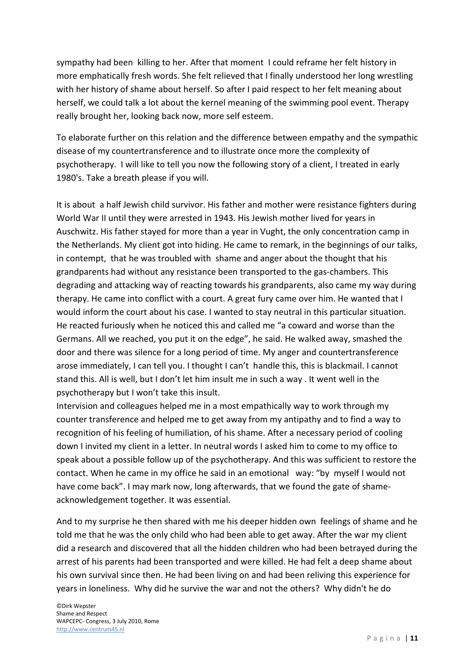sympathy had been killing to her. After that moment I could reframe her felt history in more emphatically fresh words. She felt relieved that I finally understood her long wrestling with her history of shame about herself. So after I paid respect to her felt meaning about herself, we could talk a lot about the kernel meaning of the swimming pool event. Therapy really brought her, looking back now, more self esteem.

To elaborate further on this relation and the difference between empathy and the sympathic disease of my countertransference and to illustrate once more the complexity of psychotherapy. I will like to tell you now the following story of a client, I treated in early 1980's. Take a breath please if you will.

It is about a half Jewish child survivor. His father and mother were resistance fighters during World War II until they were arrested in 1943. His Jewish mother lived for years in Auschwitz. His father stayed for more than a year in Vught, the only concentration camp in the Netherlands. My client got into hiding. He came to remark, in the beginnings of our talks, in contempt, that he was troubled with shame and anger about the thought that his grandparents had without any resistance been transported to the gas-chambers. This degrading and attacking way of reacting towards his grandparents, also came my way during therapy. He came into conflict with a court. A great fury came over him. He wanted that I would inform the court about his case. I wanted to stay neutral in this particular situation. He reacted furiously when he noticed this and called me "a coward and worse than the Germans. All we reached, you put it on the edge", he said. He walked away, smashed the door and there was silence for a long period of time. My anger and countertransference arose immediately, I can tell you. I thought I can't handle this, this is blackmail. I cannot stand this. All is well, but I don't let him insult me in such a way . It went well in the psychotherapy but I won't take this insult.

Intervision and colleagues helped me in a most empathically way to work through my counter transference and helped me to get away from my antipathy and to find a way to recognition of his feeling of humiliation, of his shame. After a necessary period of cooling down I invited my client in a letter. In neutral words I asked him to come to my office to speak about a possible follow up of the psychotherapy. And this was sufficient to restore the contact. When he came in my office he said in an emotional way: "by myself I would not have come back". I may mark now, long afterwards, that we found the gate of shameacknowledgement together. It was essential.

And to my surprise he then shared with me his deeper hidden own feelings of shame and he told me that he was the only child who had been able to get away. After the war my client did a research and discovered that all the hidden children who had been betrayed during the arrest of his parents had been transported and were killed. He had felt a deep shame about his own survival since then. He had been living on and had been reliving this experience for years in loneliness. Why did he survive the war and not the others? Why didn't he do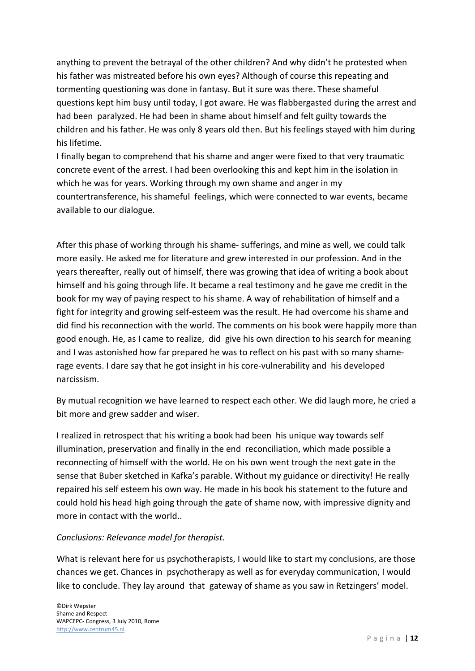anything to prevent the betrayal of the other children? And why didn't he protested when his father was mistreated before his own eyes? Although of course this repeating and tormenting questioning was done in fantasy. But it sure was there. These shameful questions kept him busy until today, I got aware. He was flabbergasted during the arrest and had been paralyzed. He had been in shame about himself and felt guilty towards the children and his father. He was only 8 years old then. But his feelings stayed with him during his lifetime.

I finally began to comprehend that his shame and anger were fixed to that very traumatic concrete event of the arrest. I had been overlooking this and kept him in the isolation in which he was for years. Working through my own shame and anger in my countertransference, his shameful feelings, which were connected to war events, became available to our dialogue.

After this phase of working through his shame- sufferings, and mine as well, we could talk more easily. He asked me for literature and grew interested in our profession. And in the years thereafter, really out of himself, there was growing that idea of writing a book about himself and his going through life. It became a real testimony and he gave me credit in the book for my way of paying respect to his shame. A way of rehabilitation of himself and a fight for integrity and growing self-esteem was the result. He had overcome his shame and did find his reconnection with the world. The comments on his book were happily more than good enough. He, as I came to realize, did give his own direction to his search for meaning and I was astonished how far prepared he was to reflect on his past with so many shamerage events. I dare say that he got insight in his core-vulnerability and his developed narcissism.

By mutual recognition we have learned to respect each other. We did laugh more, he cried a bit more and grew sadder and wiser.

I realized in retrospect that his writing a book had been his unique way towards self illumination, preservation and finally in the end reconciliation, which made possible a reconnecting of himself with the world. He on his own went trough the next gate in the sense that Buber sketched in Kafka's parable. Without my guidance or directivity! He really repaired his self esteem his own way. He made in his book his statement to the future and could hold his head high going through the gate of shame now, with impressive dignity and more in contact with the world..

### *Conclusions: Relevance model for therapist.*

What is relevant here for us psychotherapists, I would like to start my conclusions, are those chances we get. Chances in psychotherapy as well as for everyday communication, I would like to conclude. They lay around that gateway of shame as you saw in Retzingers' model.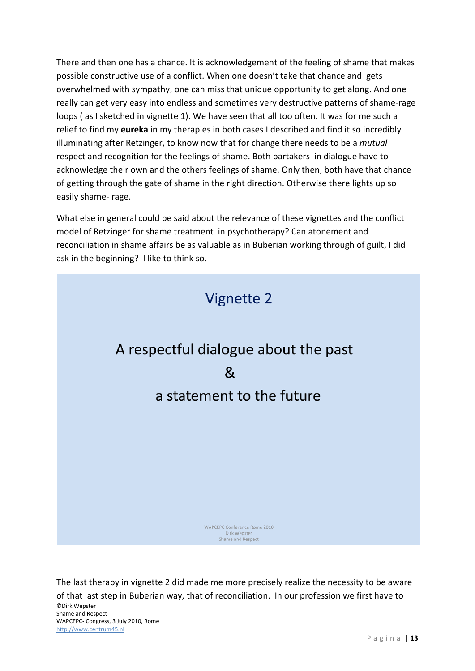There and then one has a chance. It is acknowledgement of the feeling of shame that makes possible constructive use of a conflict. When one doesn't take that chance and gets overwhelmed with sympathy, one can miss that unique opportunity to get along. And one really can get very easy into endless and sometimes very destructive patterns of shame-rage loops ( as I sketched in vignette 1). We have seen that all too often. It was for me such a relief to find my **eureka** in my therapies in both cases I described and find it so incredibly illuminating after Retzinger, to know now that for change there needs to be a *mutual* respect and recognition for the feelings of shame. Both partakers in dialogue have to acknowledge their own and the others feelings of shame. Only then, both have that chance of getting through the gate of shame in the right direction. Otherwise there lights up so easily shame- rage.

What else in general could be said about the relevance of these vignettes and the conflict model of Retzinger for shame treatment in psychotherapy? Can atonement and reconciliation in shame affairs be as valuable as in Buberian working through of guilt, I did ask in the beginning? I like to think so.



©Dirk Wepster Shame and Respect WAPCEPC- Congress, 3 July 2010, Rome [http://www.centrum45.nl](http://www.centrum45.nl/) The last therapy in vignette 2 did made me more precisely realize the necessity to be aware of that last step in Buberian way, that of reconciliation. In our profession we first have to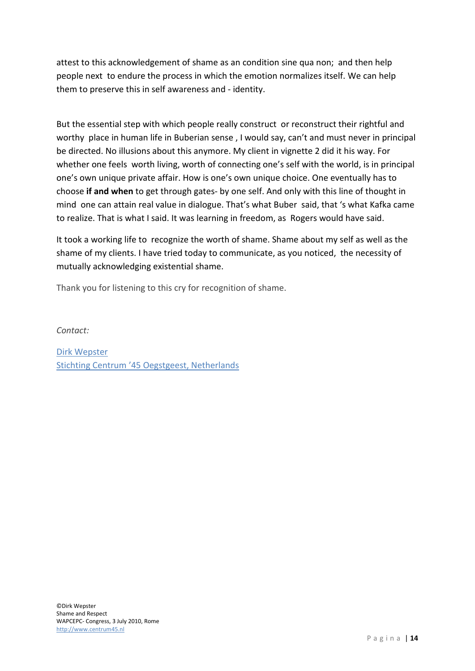attest to this acknowledgement of shame as an condition sine qua non; and then help people next to endure the process in which the emotion normalizes itself. We can help them to preserve this in self awareness and - identity.

But the essential step with which people really construct or reconstruct their rightful and worthy place in human life in Buberian sense , I would say, can't and must never in principal be directed. No illusions about this anymore. My client in vignette 2 did it his way. For whether one feels worth living, worth of connecting one's self with the world, is in principal one's own unique private affair. How is one's own unique choice. One eventually has to choose **if and when** to get through gates- by one self. And only with this line of thought in mind one can attain real value in dialogue. That's what Buber said, that 's what Kafka came to realize. That is what I said. It was learning in freedom, as Rogers would have said.

It took a working life to recognize the worth of shame. Shame about my self as well as the shame of my clients. I have tried today to communicate, as you noticed, the necessity of mutually acknowledging existential shame.

Thank you for listening to this cry for recognition of shame.

*Contact:*

[Dirk Wepster](mailto:d.wepster@centrum45.nl) [Stichting Centrum '45 Oegstgeest, Netherlands](http://www.centrum45.nl/)